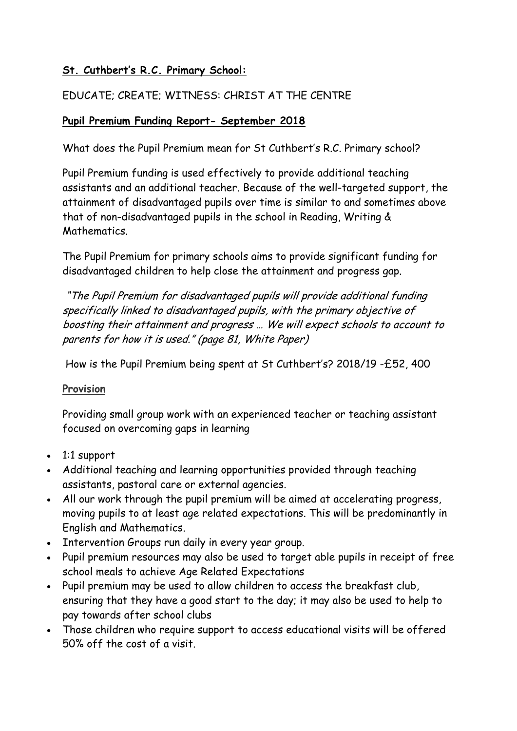# **St. Cuthbert's R.C. Primary School:**

# EDUCATE; CREATE; WITNESS: CHRIST AT THE CENTRE

## **Pupil Premium Funding Report- September 2018**

What does the Pupil Premium mean for St Cuthbert's R.C. Primary school?

Pupil Premium funding is used effectively to provide additional teaching assistants and an additional teacher. Because of the well-targeted support, the attainment of disadvantaged pupils over time is similar to and sometimes above that of non-disadvantaged pupils in the school in Reading, Writing & **Mathematics** 

The Pupil Premium for primary schools aims to provide significant funding for disadvantaged children to help close the attainment and progress gap.

"The Pupil Premium for disadvantaged pupils will provide additional funding specifically linked to disadvantaged pupils, with the primary objective of boosting their attainment and progress … We will expect schools to account to parents for how it is used." (page 81, White Paper)

How is the Pupil Premium being spent at St Cuthbert's? 2018/19 -£52, 400

#### **Provision**

Providing small group work with an experienced teacher or teaching assistant focused on overcoming gaps in learning

- 1:1 support
- Additional teaching and learning opportunities provided through teaching assistants, pastoral care or external agencies.
- All our work through the pupil premium will be aimed at accelerating progress, moving pupils to at least age related expectations. This will be predominantly in English and Mathematics.
- Intervention Groups run daily in every year group.
- Pupil premium resources may also be used to target able pupils in receipt of free school meals to achieve Age Related Expectations
- Pupil premium may be used to allow children to access the breakfast club, ensuring that they have a good start to the day; it may also be used to help to pay towards after school clubs
- Those children who require support to access educational visits will be offered 50% off the cost of a visit.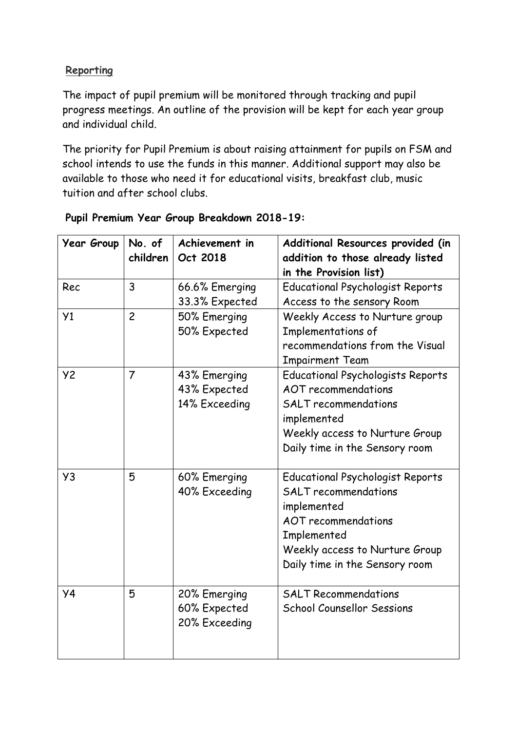## **Reporting**

The impact of pupil premium will be monitored through tracking and pupil progress meetings. An outline of the provision will be kept for each year group and individual child.

The priority for Pupil Premium is about raising attainment for pupils on FSM and school intends to use the funds in this manner. Additional support may also be available to those who need it for educational visits, breakfast club, music tuition and after school clubs.

| <b>Year Group</b> | No. of<br>children | Achievement in<br>Oct 2018                    | Additional Resources provided (in<br>addition to those already listed<br>in the Provision list)                                                                                                        |
|-------------------|--------------------|-----------------------------------------------|--------------------------------------------------------------------------------------------------------------------------------------------------------------------------------------------------------|
| Rec               | 3                  | 66.6% Emerging<br>33.3% Expected              | <b>Educational Psychologist Reports</b><br>Access to the sensory Room                                                                                                                                  |
| Y1                | $\overline{c}$     | 50% Emerging<br>50% Expected                  | Weekly Access to Nurture group<br>Implementations of<br>recommendations from the Visual<br><b>Impairment Team</b>                                                                                      |
| <b>Y2</b>         | $\overline{7}$     | 43% Emerging<br>43% Expected<br>14% Exceeding | <b>Educational Psychologists Reports</b><br><b>AOT</b> recommendations<br><b>SALT</b> recommendations<br>implemented<br>Weekly access to Nurture Group<br>Daily time in the Sensory room               |
| Y3                | 5                  | 60% Emerging<br>40% Exceeding                 | <b>Educational Psychologist Reports</b><br><b>SALT</b> recommendations<br>implemented<br><b>AOT</b> recommendations<br>Implemented<br>Weekly access to Nurture Group<br>Daily time in the Sensory room |
| <b>y4</b>         | 5                  | 20% Emerging<br>60% Expected<br>20% Exceeding | <b>SALT Recommendations</b><br><b>School Counsellor Sessions</b>                                                                                                                                       |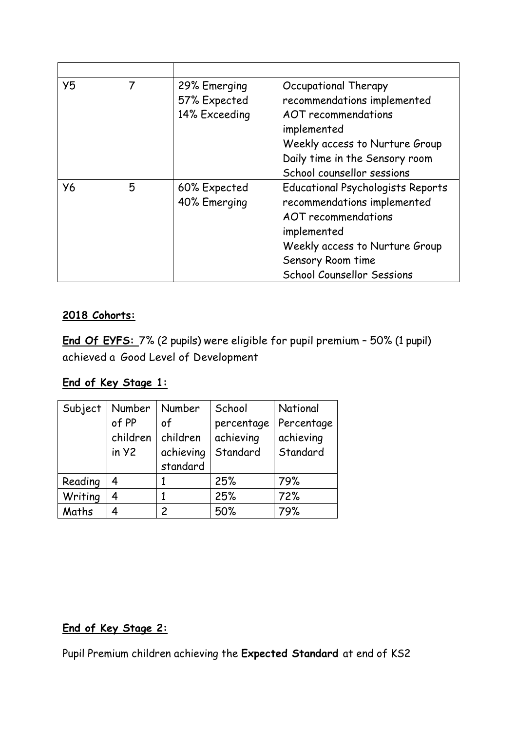| Y5        | 7 | 29% Emerging<br>57% Expected<br>14% Exceeding | Occupational Therapy<br>recommendations implemented<br>AOT recommendations<br>implemented<br>Weekly access to Nurture Group<br>Daily time in the Sensory room<br>School counsellor sessions               |
|-----------|---|-----------------------------------------------|-----------------------------------------------------------------------------------------------------------------------------------------------------------------------------------------------------------|
| <b>Y6</b> | 5 | 60% Expected<br>40% Emerging                  | <b>Educational Psychologists Reports</b><br>recommendations implemented<br>AOT recommendations<br>implemented<br>Weekly access to Nurture Group<br>Sensory Room time<br><b>School Counsellor Sessions</b> |

#### **2018 Cohorts:**

**End Of EYFS:** 7% (2 pupils) were eligible for pupil premium – 50% (1 pupil) achieved a Good Level of Development

# **End of Key Stage 1:**

| Subject | Number   | Number        | School     | National   |
|---------|----------|---------------|------------|------------|
|         | of PP    | of            | percentage | Percentage |
|         | children | children      | achieving  | achieving  |
|         | in y2    | achieving     | Standard   | Standard   |
|         |          | standard      |            |            |
| Reading | 4        |               | 25%        | 79%        |
| Writing | 4        |               | 25%        | 72%        |
| Maths   |          | $\mathcal{P}$ | 50%        | 79%        |

# **End of Key Stage 2:**

Pupil Premium children achieving the **Expected Standard** at end of KS2